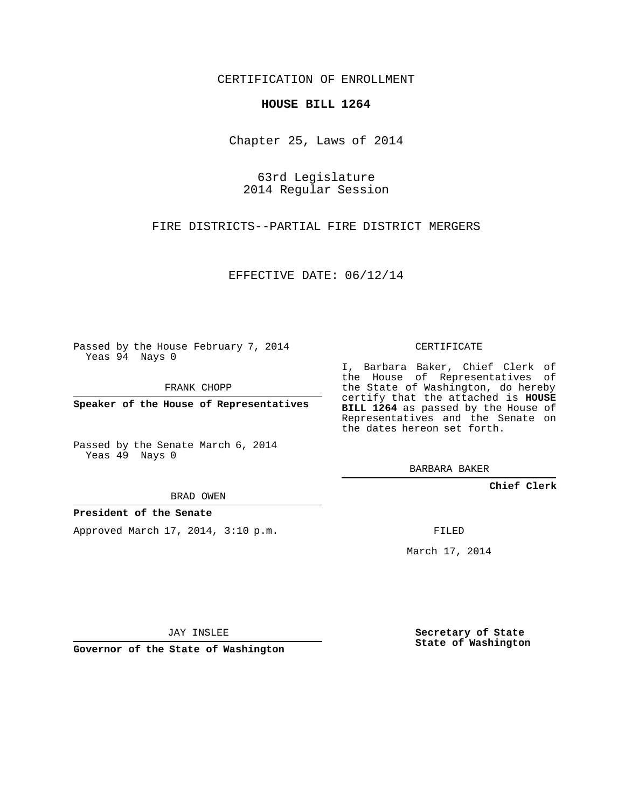CERTIFICATION OF ENROLLMENT

## **HOUSE BILL 1264**

Chapter 25, Laws of 2014

63rd Legislature 2014 Regular Session

FIRE DISTRICTS--PARTIAL FIRE DISTRICT MERGERS

EFFECTIVE DATE: 06/12/14

Passed by the House February 7, 2014 Yeas 94 Nays 0

FRANK CHOPP

**Speaker of the House of Representatives**

Passed by the Senate March 6, 2014 Yeas 49 Nays 0

BRAD OWEN

## **President of the Senate**

Approved March 17, 2014, 3:10 p.m.

CERTIFICATE

I, Barbara Baker, Chief Clerk of the House of Representatives of the State of Washington, do hereby certify that the attached is **HOUSE BILL 1264** as passed by the House of Representatives and the Senate on the dates hereon set forth.

BARBARA BAKER

**Chief Clerk**

FILED

March 17, 2014

JAY INSLEE

**Governor of the State of Washington**

**Secretary of State State of Washington**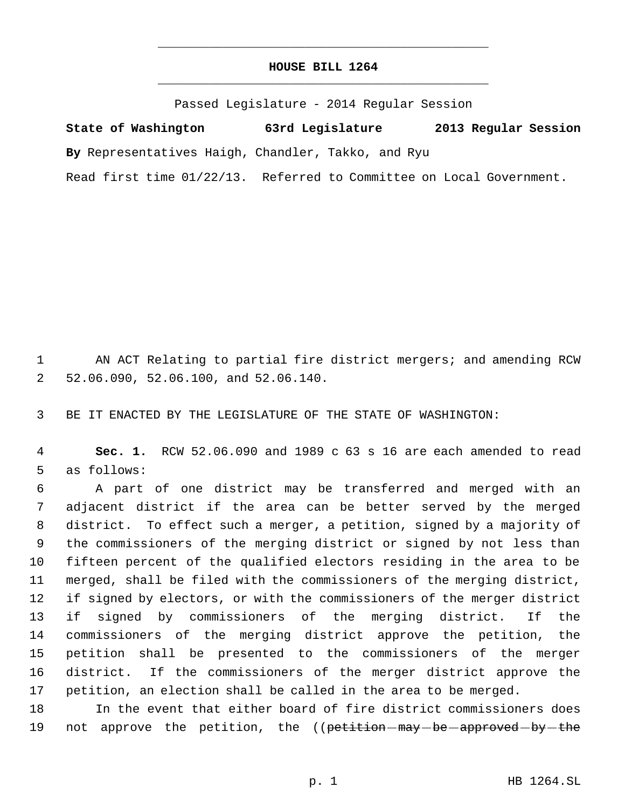## **HOUSE BILL 1264** \_\_\_\_\_\_\_\_\_\_\_\_\_\_\_\_\_\_\_\_\_\_\_\_\_\_\_\_\_\_\_\_\_\_\_\_\_\_\_\_\_\_\_\_\_

\_\_\_\_\_\_\_\_\_\_\_\_\_\_\_\_\_\_\_\_\_\_\_\_\_\_\_\_\_\_\_\_\_\_\_\_\_\_\_\_\_\_\_\_\_

Passed Legislature - 2014 Regular Session

**State of Washington 63rd Legislature 2013 Regular Session By** Representatives Haigh, Chandler, Takko, and Ryu Read first time 01/22/13. Referred to Committee on Local Government.

 AN ACT Relating to partial fire district mergers; and amending RCW 52.06.090, 52.06.100, and 52.06.140.

BE IT ENACTED BY THE LEGISLATURE OF THE STATE OF WASHINGTON:

 **Sec. 1.** RCW 52.06.090 and 1989 c 63 s 16 are each amended to read as follows:

 A part of one district may be transferred and merged with an adjacent district if the area can be better served by the merged district. To effect such a merger, a petition, signed by a majority of the commissioners of the merging district or signed by not less than fifteen percent of the qualified electors residing in the area to be merged, shall be filed with the commissioners of the merging district, if signed by electors, or with the commissioners of the merger district if signed by commissioners of the merging district. If the commissioners of the merging district approve the petition, the petition shall be presented to the commissioners of the merger district. If the commissioners of the merger district approve the petition, an election shall be called in the area to be merged.

 In the event that either board of fire district commissioners does 19 not approve the petition, the ((petition-may-be-approved-by-the